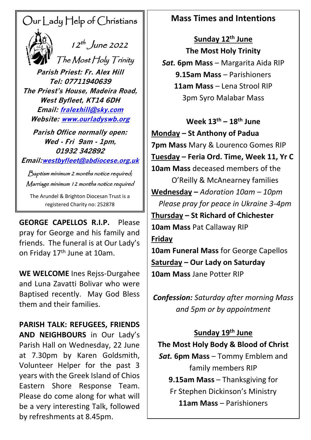# Our Lady Help of Christians



 $\frac{1}{2}$   $\frac{1}{2}$   $\frac{1}{2}$   $\frac{1}{2}$   $\frac{1}{2}$   $\frac{1}{2}$   $\frac{1}{2}$   $\frac{1}{2}$   $\frac{1}{2}$   $\frac{1}{2}$   $\frac{1}{2}$   $\frac{1}{2}$   $\frac{1}{2}$   $\frac{1}{2}$   $\frac{1}{2}$   $\frac{1}{2}$   $\frac{1}{2}$   $\frac{1}{2}$   $\frac{1}{2}$   $\frac{1}{2}$   $\frac{1}{2}$   $\frac{1}{2}$ 

 The Most Holy Trinity **Parish Priest: Fr. Alex Hill Tel: 07711940639 The Priest's House, Madeira Road, West Byfleet, KT14 6DH Email: [fralexhill@sky.com](mailto:fralexhill@sky.com) Website: [www.ourladyswb.org](http://www.ourladyswb.org/)**

**Parish Office normally open: Wed - Fri 9am - 1pm, 01932 342892**

**Email:[westbyfleet@abdiocese.org.uk](mailto:westbyfleet@abdiocese.org.uk)**

Baptism minimum 2 months notice required; Marriage minimum 12 months notice required

The Arundel & Brighton Diocesan Trust is a registered Charity no: 252878

**GEORGE CAPELLOS R.I.P. .I.P.** Please pray for George and his family and friends. The funeral is at Our Lady's on Friday 17<sup>th</sup> June at 10am.

**WE WELCOME** Ines Rejss-Durgahee and Luna Zavatti Bolivar who were Baptised recently. May God Bless them and their families.

**PARISH TALK: REFUGEES, FRIENDS AND NEIGHBOURS** in Our Lady's Parish Hall on Wednesday, 22 June at 7.30pm by Karen Goldsmith, Volunteer Helper for the past 3 years with the Greek Island of Chios Eastern Shore Response Team. Please do come along for what will be a very interesting Talk, followed by refreshments at 8.45pm.

## **Mass Times and Intentions**

**Sunday 12th June The Most Holy Trinity** *Sat.* **6pm Mass – Margarita Aida RIP 9.15am Mass** – Parishioners **11am Mass** – Lena Strool RIP 3pm Syro Malabar Mass

**Week 13th – 18 th June Monday – St Anthony of Padua 7pm Mass** Mary & Lourenco Gomes RIP **Tuesday – Feria Ord. Time, Week 11, Yr C 10am Mass** deceased members of the O'Reilly & McAnearney families **Wednesday –** *Adoration 10am – 10pm Please pray for peace in Ukraine 3-4pm* **Thursday – St Richard of Chichester 10am Mass** Pat Callaway RIP **Friday 10am Funeral Mass** for George Capellos **Saturday – Our Lady on Saturday**

**10am Mass** Jane Potter RIP

*Confession: Saturday after morning Mass and 5pm or by appointment*

### **Sunday 19 th June**

**The Most Holy Body & Blood of Christ** *Sat.* **6pm Mass** – Tommy Emblem and family members RIP **9.15am Mass** – Thanksgiving for Fr Stephen Dickinson's Ministry **11am Mass** – Parishioners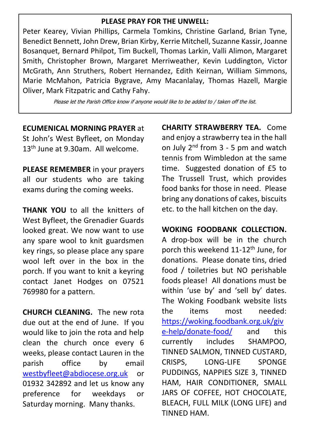#### **PLEASE PRAY FOR THE UNWELL:**

Peter Kearey, Vivian Phillips, Carmela Tomkins, Christine Garland, Brian Tyne, Benedict Bennett, John Drew, Brian Kirby, Kerrie Mitchell, Suzanne Kassir, Joanne Bosanquet, Bernard Philpot, Tim Buckell, Thomas Larkin, Valli Alimon, Margaret Smith, Christopher Brown, Margaret Merriweather, Kevin Luddington, Victor McGrath, Ann Struthers, Robert Hernandez, Edith Keirnan, William Simmons, Marie McMahon, Patricia Bygrave, Amy Macanlalay, Thomas Hazell, Margie Oliver, Mark Fitzpatric and Cathy Fahy.

Please let the Parish Office know if anyone would like to be added to / taken off the list.

**ECUMENICAL MORNING PRAYER** at

St John's West Byfleet, on Monday 13<sup>th</sup> June at 9.30am. All welcome.

**PLEASE REMEMBER** in your prayers all our students who are taking exams during the coming weeks.

**THANK YOU** to all the knitters of West Byfleet, the Grenadier Guards looked great. We now want to use any spare wool to knit guardsmen key rings, so please place any spare wool left over in the box in the porch. If you want to knit a keyring contact Janet Hodges on 07521 769980 for a pattern.

**CHURCH CLEANING.** The new rota due out at the end of June. If you would like to join the rota and help clean the church once every 6 weeks, please contact Lauren in the parish office by email [westbyfleet@abdiocese.org.uk](mailto:westbyfleet@abdiocese.org.uk) or 01932 342892 and let us know any preference for weekdays or Saturday morning. Many thanks.

**CHARITY STRAWBERRY TEA.** Come and enjoy a strawberry tea in the hall on July  $2^{nd}$  from  $3 - 5$  pm and watch tennis from Wimbledon at the same time. Suggested donation of £5 to The Trussell Trust, which provides food banks for those in need. Please bring any donations of cakes, biscuits etc. to the hall kitchen on the day.

**WOKING FOODBANK COLLECTION.** A drop-box will be in the church porch this weekend 11-12<sup>th</sup> June, for donations. Please donate tins, dried food / toiletries but NO perishable foods please! All donations must be within 'use by' and 'sell by' dates. The Woking Foodbank website lists the items most needed: [https://woking.foodbank.org.uk/giv](https://woking.foodbank.org.uk/give-help/donate-food/) [e-help/donate-food/](https://woking.foodbank.org.uk/give-help/donate-food/) and this currently includes SHAMPOO, TINNED SALMON, TINNED CUSTARD, CRISPS, LONG-LIFE SPONGE PUDDINGS, NAPPIES SIZE 3, TINNED HAM, HAIR CONDITIONER, SMALL JARS OF COFFEE, HOT CHOCOLATE, BLEACH, FULL MILK (LONG LIFE) and TINNED HAM.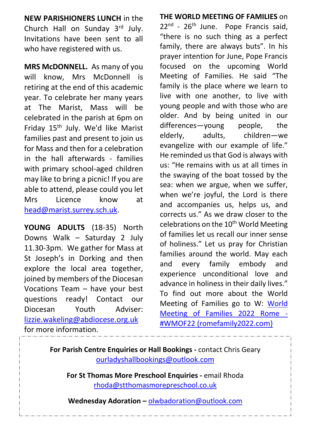**NEW PARISHIONERS LUNCH** in the Church Hall on Sunday 3rd July. Invitations have been sent to all who have registered with us.

**MRS McDONNELL.** As many of you will know, Mrs McDonnell is retiring at the end of this academic year. To celebrate her many years at The Marist, Mass will be celebrated in the parish at 6pm on Friday 15<sup>th</sup> July. We'd like Marist families past and present to join us for Mass and then for a celebration in the hall afterwards - families with primary school-aged children may like to bring a picnic! If you are able to attend, please could you let Mrs Licence know at [head@marist.surrey.sch.uk.](mailto:head@marist.surrey.sch.uk)

**YOUNG ADULTS** (18-35) North Downs Walk – Saturday 2 July 11.30-3pm. We gather for Mass at St Joseph's in Dorking and then explore the local area together, joined by members of the Diocesan Vocations Team – have your best questions ready! Contact our Diocesan Youth Adviser: [lizzie.wakeling@abdiocese.org.uk](mailto:lizzie.wakeling@abdiocese.org.uk) for more information.

**THE WORLD MEETING OF FAMILIES** on 22<sup>nd</sup> - 26<sup>th</sup> June. Pope Francis said, "there is no such thing as a perfect family, there are always buts". In his prayer intention for June, Pope Francis focused on the upcoming World Meeting of Families. He said "The family is the place where we learn to live with one another, to live with young people and with those who are older. And by being united in our differences—young people, the elderly, adults, children—we evangelize with our example of life." He reminded us that God is always with us: "He remains with us at all times in the swaying of the boat tossed by the sea: when we argue, when we suffer, when we're joyful, the Lord is there and accompanies us, helps us, and corrects us." As we draw closer to the celebrations on the 10<sup>th</sup> World Meeting of families let us recall our inner sense of holiness." Let us pray for Christian families around the world. May each and every family embody and experience unconditional love and advance in holiness in their daily lives." To find out more about the World Meeting of Families go to W: [World](World%20Meeting%20of%20Families%202022%20Rome%20-%20#WMOF22 (romefamily2022.com))  [Meeting of Families 2022 Rome -](World%20Meeting%20of%20Families%202022%20Rome%20-%20#WMOF22 (romefamily2022.com)) [#WMOF22 \(romefamily2022.c](World%20Meeting%20of%20Families%202022%20Rome%20-%20#WMOF22 (romefamily2022.com))om)

**For Parish Centre Enquiries or Hall Bookings -** contact Chris Geary [ourladyshallbookings@outlook.com](mailto:ourladyshallbookings@outlook.com)

**For St Thomas More Preschool Enquiries -** email Rhoda [rhoda@stthomasmorepreschool.co.uk](mailto:rhoda@stthomasmorepreschool.co.uk)

**Wednesday Adoration –** [olwbadoration@outlook.com](mailto:olwbadoration@outlook.com)